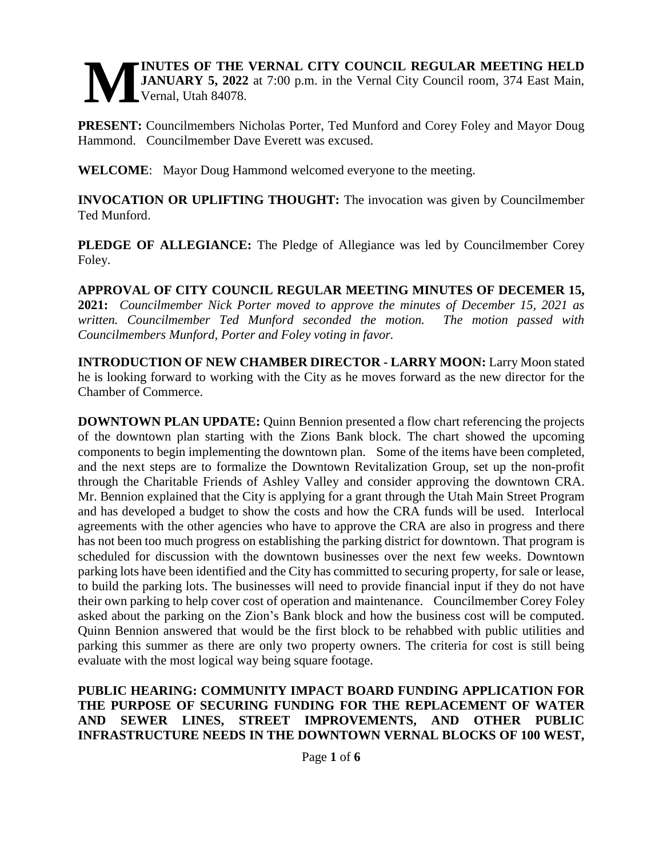### **INUTES OF THE VERNAL CITY COUNCIL REGULAR MEETING HELD JANUARY 5, 2022** at 7:00 p.m. in the Vernal City Council room, 374 East Main, Vernal, Utah 84078. **M**

**PRESENT:** Councilmembers Nicholas Porter, Ted Munford and Corey Foley and Mayor Doug Hammond. Councilmember Dave Everett was excused.

**WELCOME**: Mayor Doug Hammond welcomed everyone to the meeting.

**INVOCATION OR UPLIFTING THOUGHT:** The invocation was given by Councilmember Ted Munford.

**PLEDGE OF ALLEGIANCE:** The Pledge of Allegiance was led by Councilmember Corey Foley.

**APPROVAL OF CITY COUNCIL REGULAR MEETING MINUTES OF DECEMER 15, 2021:** *Councilmember Nick Porter moved to approve the minutes of December 15, 2021 as written. Councilmember Ted Munford seconded the motion. The motion passed with Councilmembers Munford, Porter and Foley voting in favor.* 

**INTRODUCTION OF NEW CHAMBER DIRECTOR - LARRY MOON:** Larry Moon stated he is looking forward to working with the City as he moves forward as the new director for the Chamber of Commerce.

**DOWNTOWN PLAN UPDATE:** Quinn Bennion presented a flow chart referencing the projects of the downtown plan starting with the Zions Bank block. The chart showed the upcoming components to begin implementing the downtown plan. Some of the items have been completed, and the next steps are to formalize the Downtown Revitalization Group, set up the non-profit through the Charitable Friends of Ashley Valley and consider approving the downtown CRA. Mr. Bennion explained that the City is applying for a grant through the Utah Main Street Program and has developed a budget to show the costs and how the CRA funds will be used. Interlocal agreements with the other agencies who have to approve the CRA are also in progress and there has not been too much progress on establishing the parking district for downtown. That program is scheduled for discussion with the downtown businesses over the next few weeks. Downtown parking lots have been identified and the City has committed to securing property, for sale or lease, to build the parking lots. The businesses will need to provide financial input if they do not have their own parking to help cover cost of operation and maintenance. Councilmember Corey Foley asked about the parking on the Zion's Bank block and how the business cost will be computed. Quinn Bennion answered that would be the first block to be rehabbed with public utilities and parking this summer as there are only two property owners. The criteria for cost is still being evaluate with the most logical way being square footage.

### **PUBLIC HEARING: COMMUNITY IMPACT BOARD FUNDING APPLICATION FOR THE PURPOSE OF SECURING FUNDING FOR THE REPLACEMENT OF WATER AND SEWER LINES, STREET IMPROVEMENTS, AND OTHER PUBLIC INFRASTRUCTURE NEEDS IN THE DOWNTOWN VERNAL BLOCKS OF 100 WEST,**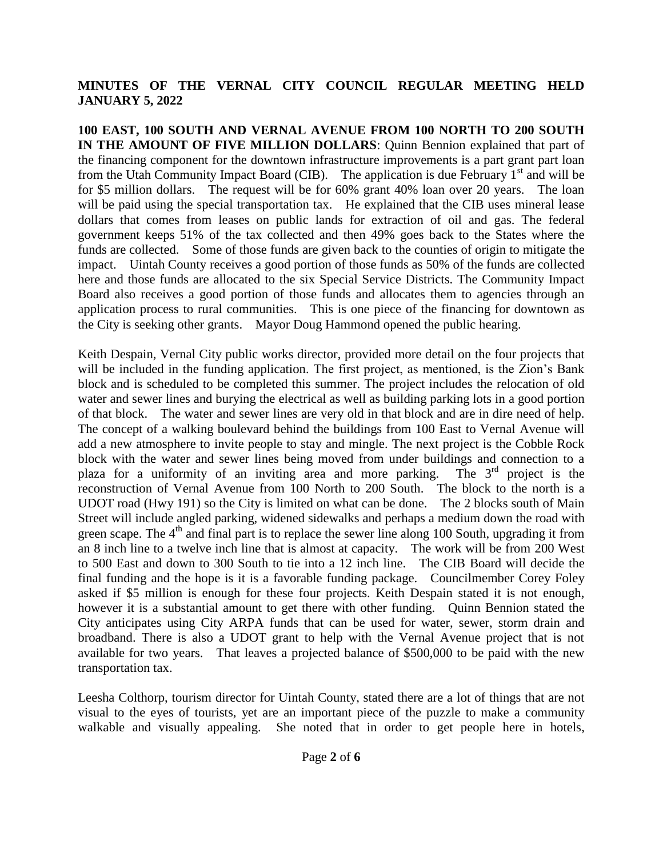**100 EAST, 100 SOUTH AND VERNAL AVENUE FROM 100 NORTH TO 200 SOUTH IN THE AMOUNT OF FIVE MILLION DOLLARS**: Quinn Bennion explained that part of the financing component for the downtown infrastructure improvements is a part grant part loan from the Utah Community Impact Board (CIB). The application is due February  $1<sup>st</sup>$  and will be for \$5 million dollars. The request will be for 60% grant 40% loan over 20 years. The loan will be paid using the special transportation tax. He explained that the CIB uses mineral lease dollars that comes from leases on public lands for extraction of oil and gas. The federal government keeps 51% of the tax collected and then 49% goes back to the States where the funds are collected. Some of those funds are given back to the counties of origin to mitigate the impact. Uintah County receives a good portion of those funds as 50% of the funds are collected here and those funds are allocated to the six Special Service Districts. The Community Impact Board also receives a good portion of those funds and allocates them to agencies through an application process to rural communities. This is one piece of the financing for downtown as the City is seeking other grants. Mayor Doug Hammond opened the public hearing.

Keith Despain, Vernal City public works director, provided more detail on the four projects that will be included in the funding application. The first project, as mentioned, is the Zion's Bank block and is scheduled to be completed this summer. The project includes the relocation of old water and sewer lines and burying the electrical as well as building parking lots in a good portion of that block. The water and sewer lines are very old in that block and are in dire need of help. The concept of a walking boulevard behind the buildings from 100 East to Vernal Avenue will add a new atmosphere to invite people to stay and mingle. The next project is the Cobble Rock block with the water and sewer lines being moved from under buildings and connection to a plaza for a uniformity of an inviting area and more parking. The  $3<sup>rd</sup>$  project is the reconstruction of Vernal Avenue from 100 North to 200 South. The block to the north is a UDOT road (Hwy 191) so the City is limited on what can be done. The 2 blocks south of Main Street will include angled parking, widened sidewalks and perhaps a medium down the road with green scape. The  $4<sup>th</sup>$  and final part is to replace the sewer line along 100 South, upgrading it from an 8 inch line to a twelve inch line that is almost at capacity. The work will be from 200 West to 500 East and down to 300 South to tie into a 12 inch line. The CIB Board will decide the final funding and the hope is it is a favorable funding package. Councilmember Corey Foley asked if \$5 million is enough for these four projects. Keith Despain stated it is not enough, however it is a substantial amount to get there with other funding. Quinn Bennion stated the City anticipates using City ARPA funds that can be used for water, sewer, storm drain and broadband. There is also a UDOT grant to help with the Vernal Avenue project that is not available for two years. That leaves a projected balance of \$500,000 to be paid with the new transportation tax.

Leesha Colthorp, tourism director for Uintah County, stated there are a lot of things that are not visual to the eyes of tourists, yet are an important piece of the puzzle to make a community walkable and visually appealing. She noted that in order to get people here in hotels,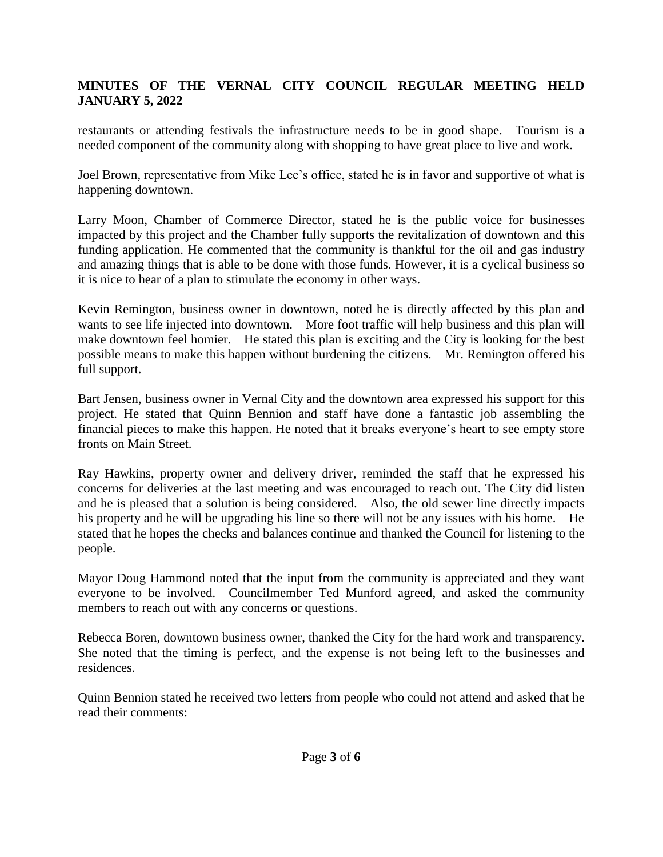restaurants or attending festivals the infrastructure needs to be in good shape. Tourism is a needed component of the community along with shopping to have great place to live and work.

Joel Brown, representative from Mike Lee's office, stated he is in favor and supportive of what is happening downtown.

Larry Moon, Chamber of Commerce Director, stated he is the public voice for businesses impacted by this project and the Chamber fully supports the revitalization of downtown and this funding application. He commented that the community is thankful for the oil and gas industry and amazing things that is able to be done with those funds. However, it is a cyclical business so it is nice to hear of a plan to stimulate the economy in other ways.

Kevin Remington, business owner in downtown, noted he is directly affected by this plan and wants to see life injected into downtown. More foot traffic will help business and this plan will make downtown feel homier. He stated this plan is exciting and the City is looking for the best possible means to make this happen without burdening the citizens. Mr. Remington offered his full support.

Bart Jensen, business owner in Vernal City and the downtown area expressed his support for this project. He stated that Quinn Bennion and staff have done a fantastic job assembling the financial pieces to make this happen. He noted that it breaks everyone's heart to see empty store fronts on Main Street.

Ray Hawkins, property owner and delivery driver, reminded the staff that he expressed his concerns for deliveries at the last meeting and was encouraged to reach out. The City did listen and he is pleased that a solution is being considered. Also, the old sewer line directly impacts his property and he will be upgrading his line so there will not be any issues with his home. He stated that he hopes the checks and balances continue and thanked the Council for listening to the people.

Mayor Doug Hammond noted that the input from the community is appreciated and they want everyone to be involved. Councilmember Ted Munford agreed, and asked the community members to reach out with any concerns or questions.

Rebecca Boren, downtown business owner, thanked the City for the hard work and transparency. She noted that the timing is perfect, and the expense is not being left to the businesses and residences.

Quinn Bennion stated he received two letters from people who could not attend and asked that he read their comments: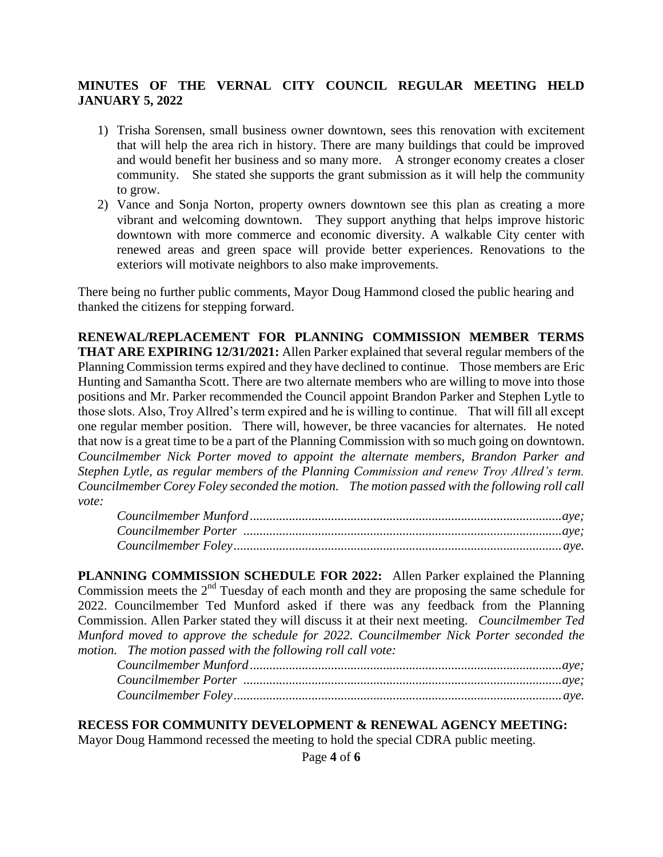- 1) Trisha Sorensen, small business owner downtown, sees this renovation with excitement that will help the area rich in history. There are many buildings that could be improved and would benefit her business and so many more. A stronger economy creates a closer community. She stated she supports the grant submission as it will help the community to grow.
- 2) Vance and Sonja Norton, property owners downtown see this plan as creating a more vibrant and welcoming downtown. They support anything that helps improve historic downtown with more commerce and economic diversity. A walkable City center with renewed areas and green space will provide better experiences. Renovations to the exteriors will motivate neighbors to also make improvements.

There being no further public comments, Mayor Doug Hammond closed the public hearing and thanked the citizens for stepping forward.

**RENEWAL/REPLACEMENT FOR PLANNING COMMISSION MEMBER TERMS THAT ARE EXPIRING 12/31/2021:** Allen Parker explained that several regular members of the Planning Commission terms expired and they have declined to continue. Those members are Eric Hunting and Samantha Scott. There are two alternate members who are willing to move into those positions and Mr. Parker recommended the Council appoint Brandon Parker and Stephen Lytle to those slots. Also, Troy Allred's term expired and he is willing to continue. That will fill all except one regular member position. There will, however, be three vacancies for alternates. He noted that now is a great time to be a part of the Planning Commission with so much going on downtown. *Councilmember Nick Porter moved to appoint the alternate members, Brandon Parker and Stephen Lytle, as regular members of the Planning Commission and renew Troy Allred's term. Councilmember Corey Foley seconded the motion. The motion passed with the following roll call vote:*

**PLANNING COMMISSION SCHEDULE FOR 2022:** Allen Parker explained the Planning Commission meets the  $2<sup>nd</sup>$  Tuesday of each month and they are proposing the same schedule for 2022. Councilmember Ted Munford asked if there was any feedback from the Planning Commission. Allen Parker stated they will discuss it at their next meeting. *Councilmember Ted Munford moved to approve the schedule for 2022. Councilmember Nick Porter seconded the motion. The motion passed with the following roll call vote:* 

#### **RECESS FOR COMMUNITY DEVELOPMENT & RENEWAL AGENCY MEETING:**

Mayor Doug Hammond recessed the meeting to hold the special CDRA public meeting.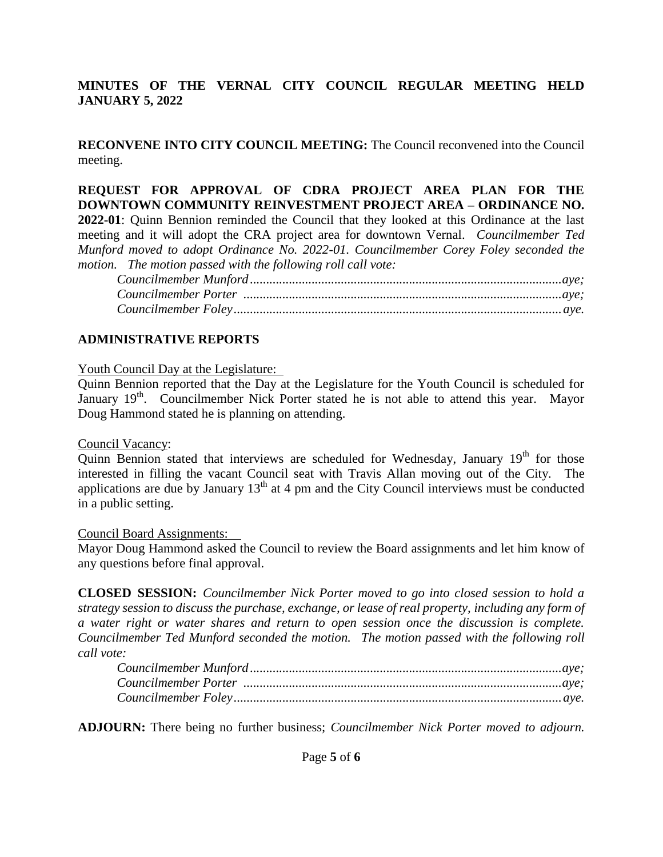**RECONVENE INTO CITY COUNCIL MEETING:** The Council reconvened into the Council meeting.

**REQUEST FOR APPROVAL OF CDRA PROJECT AREA PLAN FOR THE DOWNTOWN COMMUNITY REINVESTMENT PROJECT AREA – ORDINANCE NO. 2022-01**: Quinn Bennion reminded the Council that they looked at this Ordinance at the last meeting and it will adopt the CRA project area for downtown Vernal. *Councilmember Ted Munford moved to adopt Ordinance No. 2022-01. Councilmember Corey Foley seconded the motion. The motion passed with the following roll call vote:*

*Councilmember Munford ................................................................................................aye; Councilmember Porter ..................................................................................................aye; Councilmember Foley.....................................................................................................aye.*

### **ADMINISTRATIVE REPORTS**

Youth Council Day at the Legislature:

Quinn Bennion reported that the Day at the Legislature for the Youth Council is scheduled for January  $19<sup>th</sup>$ . Councilmember Nick Porter stated he is not able to attend this year. Mayor Doug Hammond stated he is planning on attending.

#### Council Vacancy:

Quinn Bennion stated that interviews are scheduled for Wednesday, January  $19<sup>th</sup>$  for those interested in filling the vacant Council seat with Travis Allan moving out of the City. The applications are due by January  $13<sup>th</sup>$  at 4 pm and the City Council interviews must be conducted in a public setting.

#### Council Board Assignments:

Mayor Doug Hammond asked the Council to review the Board assignments and let him know of any questions before final approval.

**CLOSED SESSION:** *Councilmember Nick Porter moved to go into closed session to hold a strategy session to discuss the purchase, exchange, or lease of real property, including any form of a water right or water shares and return to open session once the discussion is complete. Councilmember Ted Munford seconded the motion. The motion passed with the following roll call vote:* 

**ADJOURN:** There being no further business; *Councilmember Nick Porter moved to adjourn.*